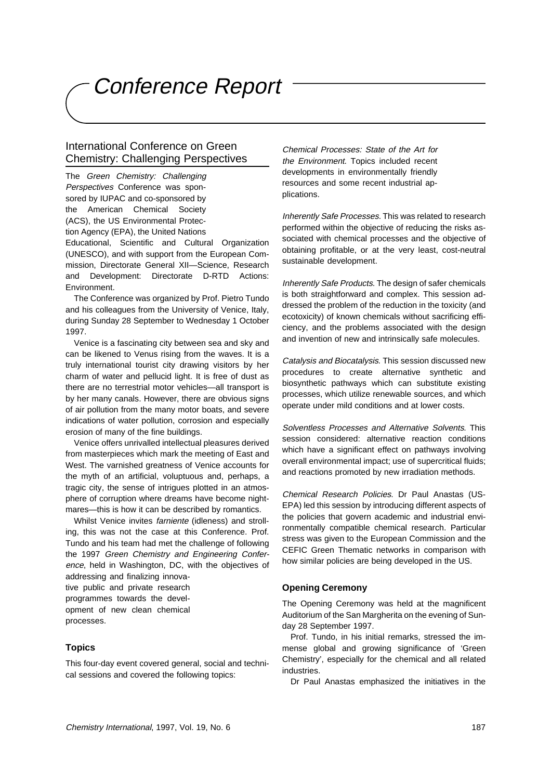# Conference Report

# International Conference on Green Chemistry: Challenging Perspectives

The Green Chemistry: Challenging Perspectives Conference was sponsored by IUPAC and co-sponsored by the American Chemical Society (ACS), the US Environmental Protection Agency (EPA), the United Nations

Educational, Scientific and Cultural Organization (UNESCO), and with support from the European Commission, Directorate General XII—Science, Research and Development: Directorate D-RTD Actions: Environment.

The Conference was organized by Prof. Pietro Tundo and his colleagues from the University of Venice, Italy, during Sunday 28 September to Wednesday 1 October 1997.

Venice is a fascinating city between sea and sky and can be likened to Venus rising from the waves. It is a truly international tourist city drawing visitors by her charm of water and pellucid light. It is free of dust as there are no terrestrial motor vehicles—all transport is by her many canals. However, there are obvious signs of air pollution from the many motor boats, and severe indications of water pollution, corrosion and especially erosion of many of the fine buildings.

Venice offers unrivalled intellectual pleasures derived from masterpieces which mark the meeting of East and West. The varnished greatness of Venice accounts for the myth of an artificial, voluptuous and, perhaps, a tragic city, the sense of intrigues plotted in an atmosphere of corruption where dreams have become nightmares—this is how it can be described by romantics.

Whilst Venice invites farniente (idleness) and strolling, this was not the case at this Conference. Prof. Tundo and his team had met the challenge of following the 1997 Green Chemistry and Engineering Conference, held in Washington, DC, with the objectives of addressing and finalizing innova-

tive public and private research programmes towards the development of new clean chemical processes.

## **Topics**

This four-day event covered general, social and technical sessions and covered the following topics:

Chemical Processes: State of the Art for the Environment. Topics included recent developments in environmentally friendly resources and some recent industrial applications.

Inherently Safe Processes. This was related to research performed within the objective of reducing the risks associated with chemical processes and the objective of obtaining profitable, or at the very least, cost-neutral sustainable development.

Inherently Safe Products. The design of safer chemicals is both straightforward and complex. This session addressed the problem of the reduction in the toxicity (and ecotoxicity) of known chemicals without sacrificing efficiency, and the problems associated with the design and invention of new and intrinsically safe molecules.

Catalysis and Biocatalysis. This session discussed new procedures to create alternative synthetic and biosynthetic pathways which can substitute existing processes, which utilize renewable sources, and which operate under mild conditions and at lower costs.

Solventless Processes and Alternative Solvents. This session considered: alternative reaction conditions which have a significant effect on pathways involving overall environmental impact; use of supercritical fluids; and reactions promoted by new irradiation methods.

Chemical Research Policies. Dr Paul Anastas (US-EPA) led this session by introducing different aspects of the policies that govern academic and industrial environmentally compatible chemical research. Particular stress was given to the European Commission and the CEFIC Green Thematic networks in comparison with how similar policies are being developed in the US.

#### **Opening Ceremony**

The Opening Ceremony was held at the magnificent Auditorium of the San Margherita on the evening of Sunday 28 September 1997.

Prof. Tundo, in his initial remarks, stressed the immense global and growing significance of 'Green Chemistry', especially for the chemical and all related industries.

Dr Paul Anastas emphasized the initiatives in the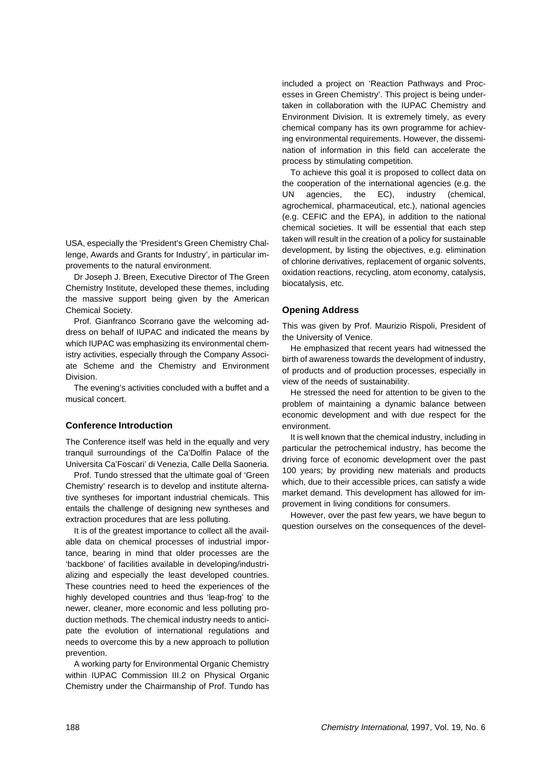USA, especially the 'President's Green Chemistry Challenge, Awards and Grants for Industry', in particular improvements to the natural environment.

Dr Joseph J. Breen, Executive Director of The Green Chemistry Institute, developed these themes, including the massive support being given by the American Chemical Society.

Prof. Gianfranco Scorrano gave the welcoming address on behalf of IUPAC and indicated the means by which IUPAC was emphasizing its environmental chemistry activities, especially through the Company Associate Scheme and the Chemistry and Environment **Division** 

The evening's activities concluded with a buffet and a musical concert.

## **Conference Introduction**

The Conference itself was held in the equally and very tranquil surroundings of the Ca'Dolfin Palace of the Universita Ca'Foscari' di Venezia, Calle Della Saoneria.

Prof. Tundo stressed that the ultimate goal of 'Green Chemistry' research is to develop and institute alternative syntheses for important industrial chemicals. This entails the challenge of designing new syntheses and extraction procedures that are less polluting.

It is of the greatest importance to collect all the available data on chemical processes of industrial importance, bearing in mind that older processes are the 'backbone' of facilities available in developing/industrializing and especially the least developed countries. These countries need to heed the experiences of the highly developed countries and thus 'leap-frog' to the newer, cleaner, more economic and less polluting production methods. The chemical industry needs to anticipate the evolution of international regulations and needs to overcome this by a new approach to pollution prevention.

A working party for Environmental Organic Chemistry within IUPAC Commission III.2 on Physical Organic Chemistry under the Chairmanship of Prof. Tundo has included a project on 'Reaction Pathways and Processes in Green Chemistry'. This project is being undertaken in collaboration with the IUPAC Chemistry and Environment Division. It is extremely timely, as every chemical company has its own programme for achieving environmental requirements. However, the dissemination of information in this field can accelerate the process by stimulating competition.

To achieve this goal it is proposed to collect data on the cooperation of the international agencies (e.g. the UN agencies, the EC), industry (chemical, agrochemical, pharmaceutical, etc.), national agencies (e.g. CEFIC and the EPA), in addition to the national chemical societies. It will be essential that each step taken will result in the creation of a policy for sustainable development, by listing the objectives, e.g. elimination of chlorine derivatives, replacement of organic solvents, oxidation reactions, recycling, atom economy, catalysis, biocatalysis, etc.

#### **Opening Address**

This was given by Prof. Maurizio Rispoli, President of the University of Venice.

He emphasized that recent years had witnessed the birth of awareness towards the development of industry, of products and of production processes, especially in view of the needs of sustainability.

He stressed the need for attention to be given to the problem of maintaining a dynamic balance between economic development and with due respect for the environment.

It is well known that the chemical industry, including in particular the petrochemical industry, has become the driving force of economic development over the past 100 years; by providing new materials and products which, due to their accessible prices, can satisfy a wide market demand. This development has allowed for improvement in living conditions for consumers.

However, over the past few years, we have begun to question ourselves on the consequences of the devel-